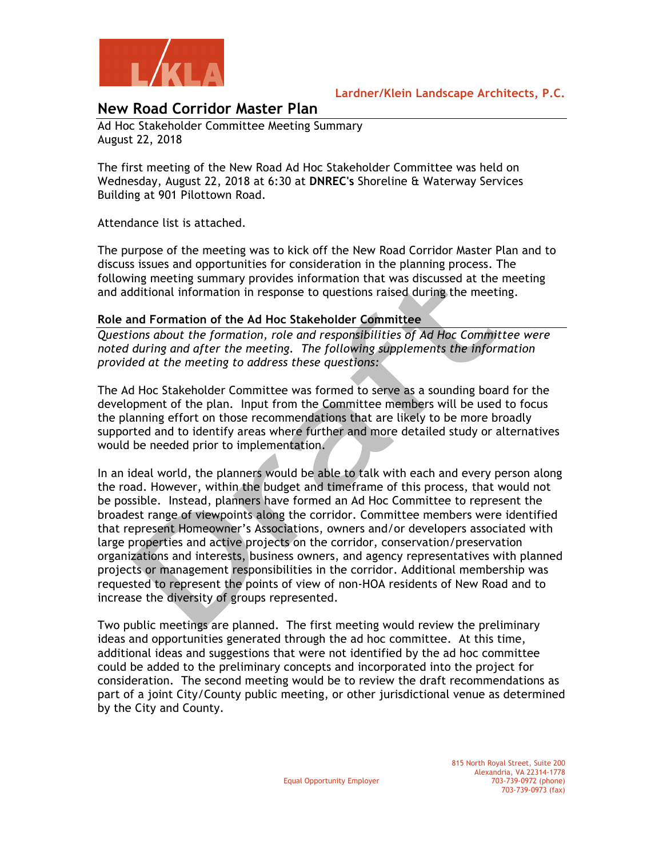

# **New Road Corridor Master Plan**

Ad Hoc Stakeholder Committee Meeting Summary August 22, 2018

The first meeting of the New Road Ad Hoc Stakeholder Committee was held on Wednesday, August 22, 2018 at 6:30 at **DNREC's** Shoreline & Waterway Services Building at 901 Pilottown Road.

Attendance list is attached.

The purpose of the meeting was to kick off the New Road Corridor Master Plan and to discuss issues and opportunities for consideration in the planning process. The following meeting summary provides information that was discussed at the meeting and additional information in response to questions raised during the meeting.

## **Role and Formation of the Ad Hoc Stakeholder Committee**

*Questions about the formation, role and responsibilities of Ad Hoc Committee were noted during and after the meeting. The following supplements the information provided at the meeting to address these questions:*

The Ad Hoc Stakeholder Committee was formed to serve as a sounding board for the development of the plan. Input from the Committee members will be used to focus the planning effort on those recommendations that are likely to be more broadly supported and to identify areas where further and more detailed study or alternatives would be needed prior to implementation.

In an ideal world, the planners would be able to talk with each and every person along the road. However, within the budget and timeframe of this process, that would not be possible. Instead, planners have formed an Ad Hoc Committee to represent the broadest range of viewpoints along the corridor. Committee members were identified that represent Homeowner's Associations, owners and/or developers associated with large properties and active projects on the corridor, conservation/preservation organizations and interests, business owners, and agency representatives with planned projects or management responsibilities in the corridor. Additional membership was requested to represent the points of view of non-HOA residents of New Road and to increase the diversity of groups represented.

Two public meetings are planned. The first meeting would review the preliminary ideas and opportunities generated through the ad hoc committee. At this time, additional ideas and suggestions that were not identified by the ad hoc committee could be added to the preliminary concepts and incorporated into the project for consideration. The second meeting would be to review the draft recommendations as part of a joint City/County public meeting, or other jurisdictional venue as determined by the City and County.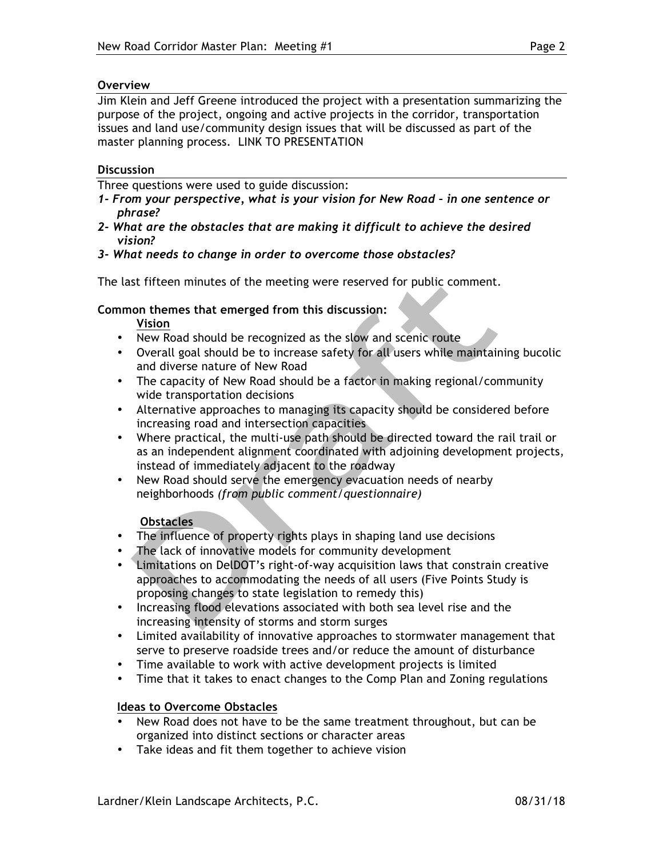### **Overview**

Jim Klein and Jeff Greene introduced the project with a presentation summarizing the purpose of the project, ongoing and active projects in the corridor, transportation issues and land use/community design issues that will be discussed as part of the master planning process. LINK TO PRESENTATION

### **Discussion**

Three questions were used to guide discussion:

- *1- From your perspective, what is your vision for New Road – in one sentence or phrase?*
- *2- What are the obstacles that are making it difficult to achieve the desired vision?*
- *3- What needs to change in order to overcome those obstacles?*

The last fifteen minutes of the meeting were reserved for public comment.

### **Common themes that emerged from this discussion:**

**Vision**

- New Road should be recognized as the slow and scenic route
- Overall goal should be to increase safety for all users while maintaining bucolic and diverse nature of New Road
- The capacity of New Road should be a factor in making regional/community wide transportation decisions
- Alternative approaches to managing its capacity should be considered before increasing road and intersection capacities
- Where practical, the multi-use path should be directed toward the rail trail or as an independent alignment coordinated with adjoining development projects, instead of immediately adjacent to the roadway
- New Road should serve the emergency evacuation needs of nearby neighborhoods *(from public comment/questionnaire)*

#### **Obstacles**

- The influence of property rights plays in shaping land use decisions
- The lack of innovative models for community development
- Limitations on DelDOT's right-of-way acquisition laws that constrain creative approaches to accommodating the needs of all users (Five Points Study is proposing changes to state legislation to remedy this)
- Increasing flood elevations associated with both sea level rise and the increasing intensity of storms and storm surges
- Limited availability of innovative approaches to stormwater management that serve to preserve roadside trees and/or reduce the amount of disturbance
- Time available to work with active development projects is limited
- Time that it takes to enact changes to the Comp Plan and Zoning regulations

## **Ideas to Overcome Obstacles**

- New Road does not have to be the same treatment throughout, but can be organized into distinct sections or character areas
- Take ideas and fit them together to achieve vision